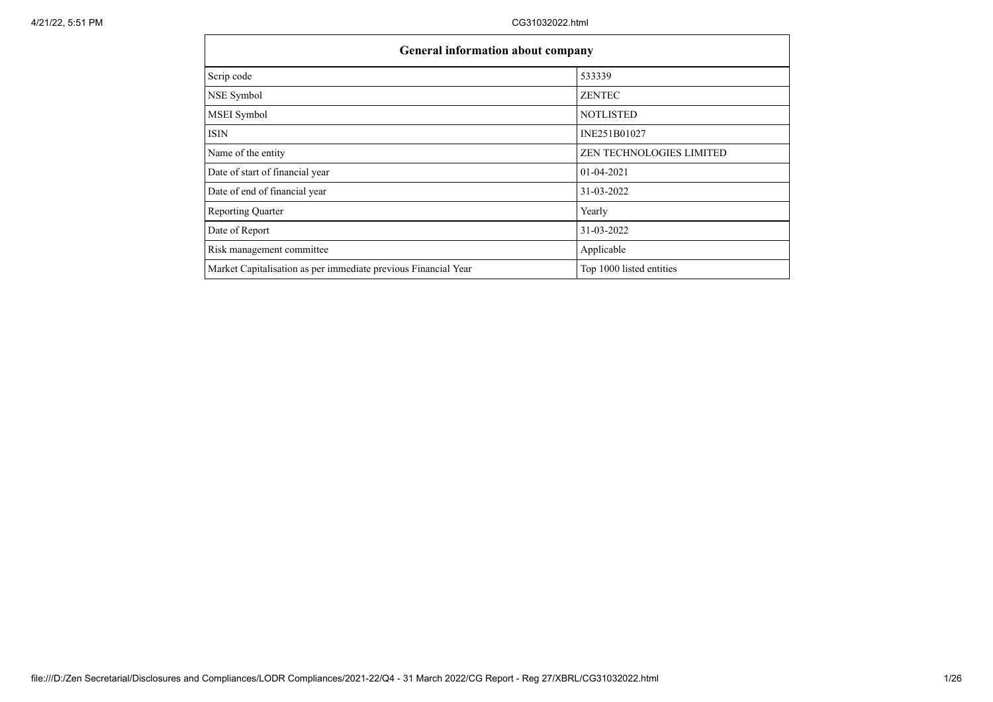| <b>General information about company</b>                       |                                 |  |  |  |  |  |  |
|----------------------------------------------------------------|---------------------------------|--|--|--|--|--|--|
| Scrip code                                                     | 533339                          |  |  |  |  |  |  |
| NSE Symbol                                                     | <b>ZENTEC</b>                   |  |  |  |  |  |  |
| MSEI Symbol                                                    | <b>NOTLISTED</b>                |  |  |  |  |  |  |
| ISIN                                                           | INE251B01027                    |  |  |  |  |  |  |
| Name of the entity                                             | <b>ZEN TECHNOLOGIES LIMITED</b> |  |  |  |  |  |  |
| Date of start of financial year                                | $01-04-2021$                    |  |  |  |  |  |  |
| Date of end of financial year                                  | 31-03-2022                      |  |  |  |  |  |  |
| <b>Reporting Quarter</b>                                       | Yearly                          |  |  |  |  |  |  |
| Date of Report                                                 | 31-03-2022                      |  |  |  |  |  |  |
| Risk management committee                                      | Applicable                      |  |  |  |  |  |  |
| Market Capitalisation as per immediate previous Financial Year | Top 1000 listed entities        |  |  |  |  |  |  |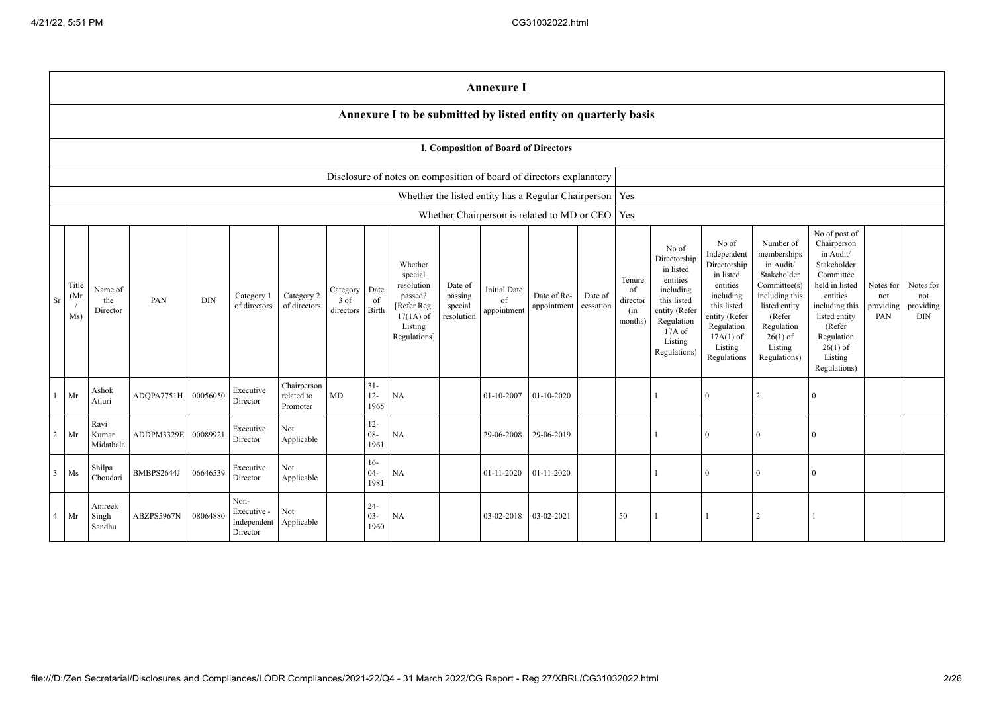|                |                                                                      |                            |                     |            |                                                |                                       |                               |                          |                                                                                                      |                                             | <b>Annexure I</b>                                         |                            |                      |                                            |                                                                                                                                                  |                                                                                                                                                                   |                                                                                                                                                                          |                                                                                                                                                                                                         |                                      |                                             |
|----------------|----------------------------------------------------------------------|----------------------------|---------------------|------------|------------------------------------------------|---------------------------------------|-------------------------------|--------------------------|------------------------------------------------------------------------------------------------------|---------------------------------------------|-----------------------------------------------------------|----------------------------|----------------------|--------------------------------------------|--------------------------------------------------------------------------------------------------------------------------------------------------|-------------------------------------------------------------------------------------------------------------------------------------------------------------------|--------------------------------------------------------------------------------------------------------------------------------------------------------------------------|---------------------------------------------------------------------------------------------------------------------------------------------------------------------------------------------------------|--------------------------------------|---------------------------------------------|
|                |                                                                      |                            |                     |            |                                                |                                       |                               |                          | Annexure I to be submitted by listed entity on quarterly basis                                       |                                             |                                                           |                            |                      |                                            |                                                                                                                                                  |                                                                                                                                                                   |                                                                                                                                                                          |                                                                                                                                                                                                         |                                      |                                             |
|                | I. Composition of Board of Directors                                 |                            |                     |            |                                                |                                       |                               |                          |                                                                                                      |                                             |                                                           |                            |                      |                                            |                                                                                                                                                  |                                                                                                                                                                   |                                                                                                                                                                          |                                                                                                                                                                                                         |                                      |                                             |
|                | Disclosure of notes on composition of board of directors explanatory |                            |                     |            |                                                |                                       |                               |                          |                                                                                                      |                                             |                                                           |                            |                      |                                            |                                                                                                                                                  |                                                                                                                                                                   |                                                                                                                                                                          |                                                                                                                                                                                                         |                                      |                                             |
|                |                                                                      |                            |                     |            |                                                |                                       |                               |                          |                                                                                                      |                                             | Whether the listed entity has a Regular Chairperson   Yes |                            |                      |                                            |                                                                                                                                                  |                                                                                                                                                                   |                                                                                                                                                                          |                                                                                                                                                                                                         |                                      |                                             |
|                |                                                                      |                            |                     |            |                                                |                                       |                               |                          |                                                                                                      |                                             | Whether Chairperson is related to MD or CEO   Yes         |                            |                      |                                            |                                                                                                                                                  |                                                                                                                                                                   |                                                                                                                                                                          |                                                                                                                                                                                                         |                                      |                                             |
| Sr             | Title<br>(Mr)<br>Ms)                                                 | Name of<br>the<br>Director | PAN                 | <b>DIN</b> | Category 1<br>of directors                     | Category 2<br>of directors            | Category<br>3 of<br>directors | Date<br>of<br>Birth      | Whether<br>special<br>resolution<br>passed?<br>[Refer Reg.<br>$17(1A)$ of<br>Listing<br>Regulations] | Date of<br>passing<br>special<br>resolution | <b>Initial Date</b><br>of<br>appointment                  | Date of Re-<br>appointment | Date of<br>cessation | Tenure<br>of<br>director<br>(in<br>months) | No of<br>Directorship<br>in listed<br>entities<br>including<br>this listed<br>entity (Refer<br>Regulation<br>$17A$ of<br>Listing<br>Regulations) | No of<br>Independent<br>Directorship<br>in listed<br>entities<br>including<br>this listed<br>entity (Refer<br>Regulation<br>$17A(1)$ of<br>Listing<br>Regulations | Number of<br>memberships<br>in Audit/<br>Stakeholder<br>Committee(s)<br>including this<br>listed entity<br>(Refer<br>Regulation<br>$26(1)$ of<br>Listing<br>Regulations) | No of post of<br>Chairperson<br>in Audit/<br>Stakeholder<br>Committee<br>held in listed<br>entities<br>including this<br>listed entity<br>(Refer<br>Regulation<br>$26(1)$ of<br>Listing<br>Regulations) | Notes for<br>not<br>providing<br>PAN | Notes for<br>not<br>providing<br><b>DIN</b> |
|                | Mr                                                                   | Ashok<br>Atluri            | ADQPA7751H 00056050 |            | Executive<br>Director                          | Chairperson<br>related to<br>Promoter | MD                            | $31 -$<br>$12-$<br>1965  | NA                                                                                                   |                                             | $01 - 10 - 2007$                                          | 01-10-2020                 |                      |                                            |                                                                                                                                                  | $\mathbf{0}$                                                                                                                                                      | $\mathfrak{D}$                                                                                                                                                           | $\Omega$                                                                                                                                                                                                |                                      |                                             |
| $\overline{2}$ | Mr                                                                   | Ravi<br>Kumar<br>Midathala | ADDPM3329E          | 0008992    | Executive<br>Director                          | Not<br>Applicable                     |                               | $12 -$<br>$08 -$<br>1961 | NA                                                                                                   |                                             | 29-06-2008                                                | 29-06-2019                 |                      |                                            |                                                                                                                                                  | $\theta$                                                                                                                                                          | $\Omega$                                                                                                                                                                 | $\theta$                                                                                                                                                                                                |                                      |                                             |
| $\mathbf{3}$   | Ms                                                                   | Shilpa<br>Choudari         | BMBPS2644J          | 06646539   | Executive<br>Director                          | Not<br>Applicable                     |                               | $16-$<br>$04 -$<br>1981  | NA                                                                                                   |                                             | 01-11-2020                                                | $01 - 11 - 2020$           |                      |                                            |                                                                                                                                                  | $\theta$                                                                                                                                                          | $\Omega$                                                                                                                                                                 | $\Omega$                                                                                                                                                                                                |                                      |                                             |
| $\overline{4}$ | Mr                                                                   | Amreek<br>Singh<br>Sandhu  | ABZPS5967N          | 08064880   | Non-<br>Executive -<br>Independent<br>Director | Not<br>Applicable                     |                               | $24 -$<br>$03 -$<br>1960 | NA                                                                                                   |                                             | 03-02-2018                                                | 03-02-2021                 |                      | 50                                         |                                                                                                                                                  |                                                                                                                                                                   | $\mathfrak{D}$                                                                                                                                                           |                                                                                                                                                                                                         |                                      |                                             |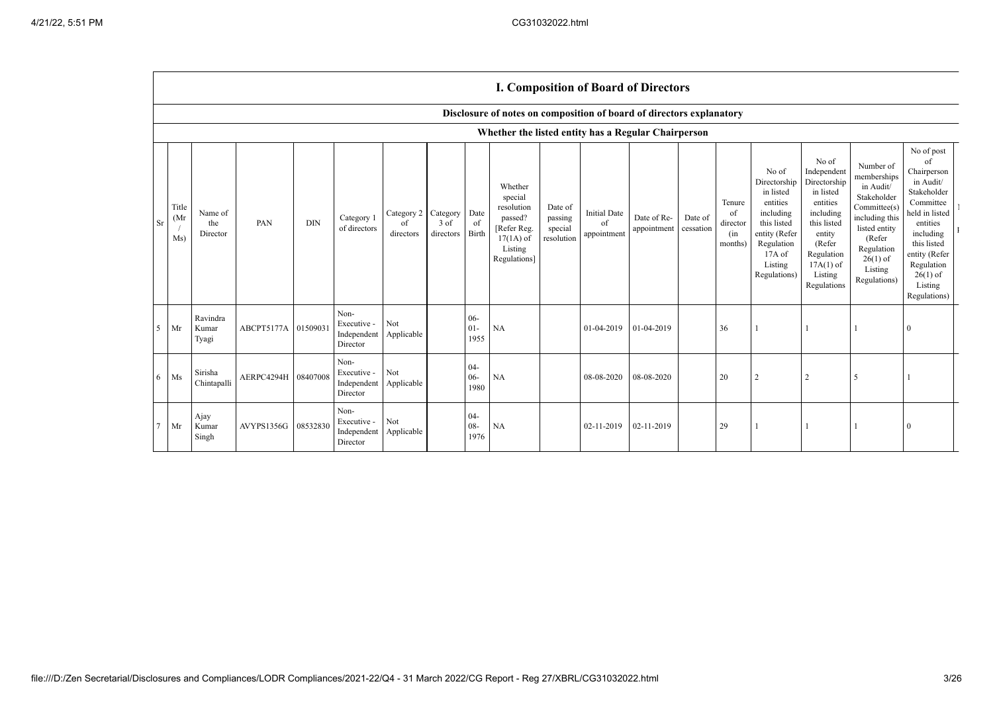$\Gamma$ 

|        | <b>I. Composition of Board of Directors</b>         |                            |                     |            |                                                |                                        |                   |                          |                                                                                                      |                                             |                                          |                            |                      |                                            |                                                                                                                                                  |                                                                                                                                                                      |                                                                                                                                                                          |                                                                                                                                                                                                            |  |
|--------|-----------------------------------------------------|----------------------------|---------------------|------------|------------------------------------------------|----------------------------------------|-------------------|--------------------------|------------------------------------------------------------------------------------------------------|---------------------------------------------|------------------------------------------|----------------------------|----------------------|--------------------------------------------|--------------------------------------------------------------------------------------------------------------------------------------------------|----------------------------------------------------------------------------------------------------------------------------------------------------------------------|--------------------------------------------------------------------------------------------------------------------------------------------------------------------------|------------------------------------------------------------------------------------------------------------------------------------------------------------------------------------------------------------|--|
|        |                                                     |                            |                     |            |                                                |                                        |                   |                          | Disclosure of notes on composition of board of directors explanatory                                 |                                             |                                          |                            |                      |                                            |                                                                                                                                                  |                                                                                                                                                                      |                                                                                                                                                                          |                                                                                                                                                                                                            |  |
|        | Whether the listed entity has a Regular Chairperson |                            |                     |            |                                                |                                        |                   |                          |                                                                                                      |                                             |                                          |                            |                      |                                            |                                                                                                                                                  |                                                                                                                                                                      |                                                                                                                                                                          |                                                                                                                                                                                                            |  |
| Sr     | Title<br>(Mr)<br>Ms)                                | Name of<br>the<br>Director | PAN                 | <b>DIN</b> | Category 1<br>of directors                     | Category 2 Category<br>of<br>directors | 3 of<br>directors | Date<br>of<br>Birth      | Whether<br>special<br>resolution<br>passed?<br>[Refer Reg.<br>$17(1A)$ of<br>Listing<br>Regulations] | Date of<br>passing<br>special<br>resolution | <b>Initial Date</b><br>of<br>appointment | Date of Re-<br>appointment | Date of<br>cessation | Tenure<br>of<br>director<br>(in<br>months) | No of<br>Directorship<br>in listed<br>entities<br>including<br>this listed<br>entity (Refer<br>Regulation<br>$17A$ of<br>Listing<br>Regulations) | No of<br>Independent<br>Directorship<br>in listed<br>entities<br>including<br>this listed<br>entity<br>(Refer<br>Regulation<br>$17A(1)$ of<br>Listing<br>Regulations | Number of<br>memberships<br>in Audit/<br>Stakeholder<br>Committee(s)<br>including this<br>listed entity<br>(Refer<br>Regulation<br>$26(1)$ of<br>Listing<br>Regulations) | No of post<br>of<br>Chairperson<br>in Audit/<br>Stakeholder<br>Committee<br>held in listed<br>entities<br>including<br>this listed<br>entity (Refer<br>Regulation<br>$26(1)$ of<br>Listing<br>Regulations) |  |
| 5      | Mr                                                  | Ravindra<br>Kumar<br>Tyagi | ABCPT5177A          | 0150903    | Non-<br>Executive -<br>Independent<br>Director | Not<br>Applicable                      |                   | $06 -$<br>$01-$<br>1955  | <b>NA</b>                                                                                            |                                             | 01-04-2019                               | 01-04-2019                 |                      | 36                                         |                                                                                                                                                  |                                                                                                                                                                      |                                                                                                                                                                          | $\theta$                                                                                                                                                                                                   |  |
| 6      | $\rm Ms$                                            | Sirisha<br>Chintapalli     | AERPC4294H 08407008 |            | Non-<br>Executive -<br>Independent<br>Director | Not<br>Applicable                      |                   | $04 -$<br>$06 -$<br>1980 | NA                                                                                                   |                                             | 08-08-2020                               | 08-08-2020                 |                      | 20                                         | $\overline{2}$                                                                                                                                   | $\overline{2}$                                                                                                                                                       | 5                                                                                                                                                                        |                                                                                                                                                                                                            |  |
| $\tau$ | Mr                                                  | Ajay<br>Kumar<br>Singh     | AVYPS1356G          | 08532830   | Non-<br>Executive -<br>Independent<br>Director | Not<br>Applicable                      |                   | $04 -$<br>$08 -$<br>1976 | NA                                                                                                   |                                             | 02-11-2019                               | 02-11-2019                 |                      | 29                                         |                                                                                                                                                  |                                                                                                                                                                      |                                                                                                                                                                          | 0                                                                                                                                                                                                          |  |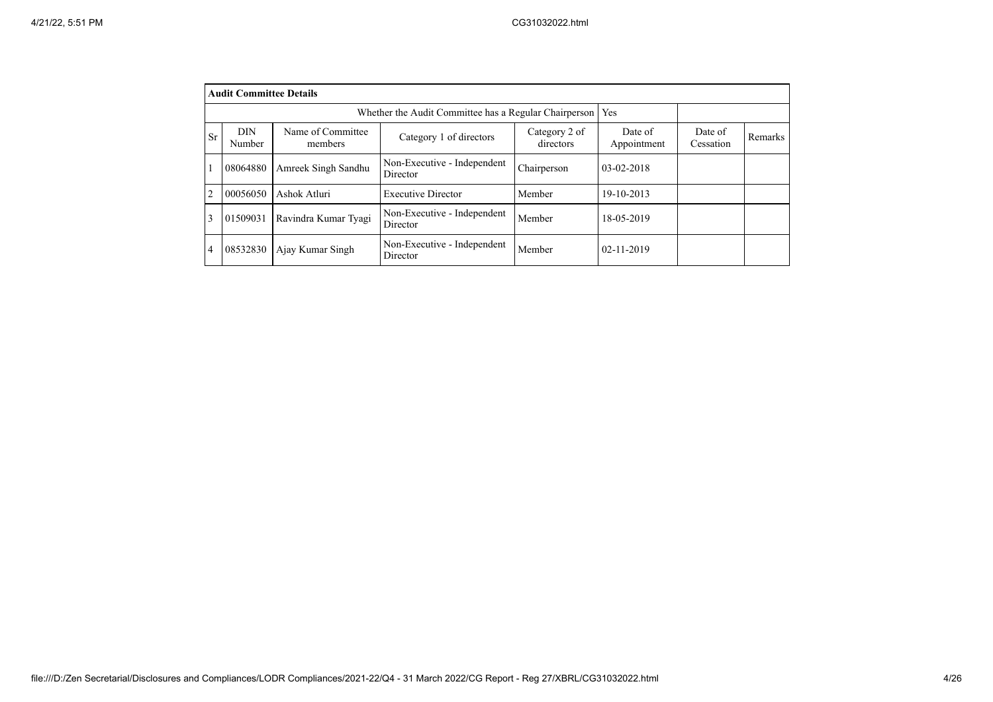|                | <b>Audit Committee Details</b>                                                                                |                      |                                         |             |                        |                      |         |  |  |  |
|----------------|---------------------------------------------------------------------------------------------------------------|----------------------|-----------------------------------------|-------------|------------------------|----------------------|---------|--|--|--|
|                | Yes<br>Whether the Audit Committee has a Regular Chairperson                                                  |                      |                                         |             |                        |                      |         |  |  |  |
| <b>Sr</b>      | <b>DIN</b><br>Name of Committee<br>Category 2 of<br>Category 1 of directors<br>directors<br>Number<br>members |                      |                                         |             | Date of<br>Appointment | Date of<br>Cessation | Remarks |  |  |  |
|                | 08064880                                                                                                      | Amreek Singh Sandhu  | Non-Executive - Independent<br>Director | Chairperson | 03-02-2018             |                      |         |  |  |  |
| $\overline{2}$ | 00056050                                                                                                      | Ashok Atluri         | <b>Executive Director</b>               | Member      | 19-10-2013             |                      |         |  |  |  |
| 3              | 01509031                                                                                                      | Ravindra Kumar Tyagi | Non-Executive - Independent<br>Director | Member      | 18-05-2019             |                      |         |  |  |  |
| 4              | 08532830                                                                                                      | Ajay Kumar Singh     | Non-Executive - Independent<br>Director | Member      | $02 - 11 - 2019$       |                      |         |  |  |  |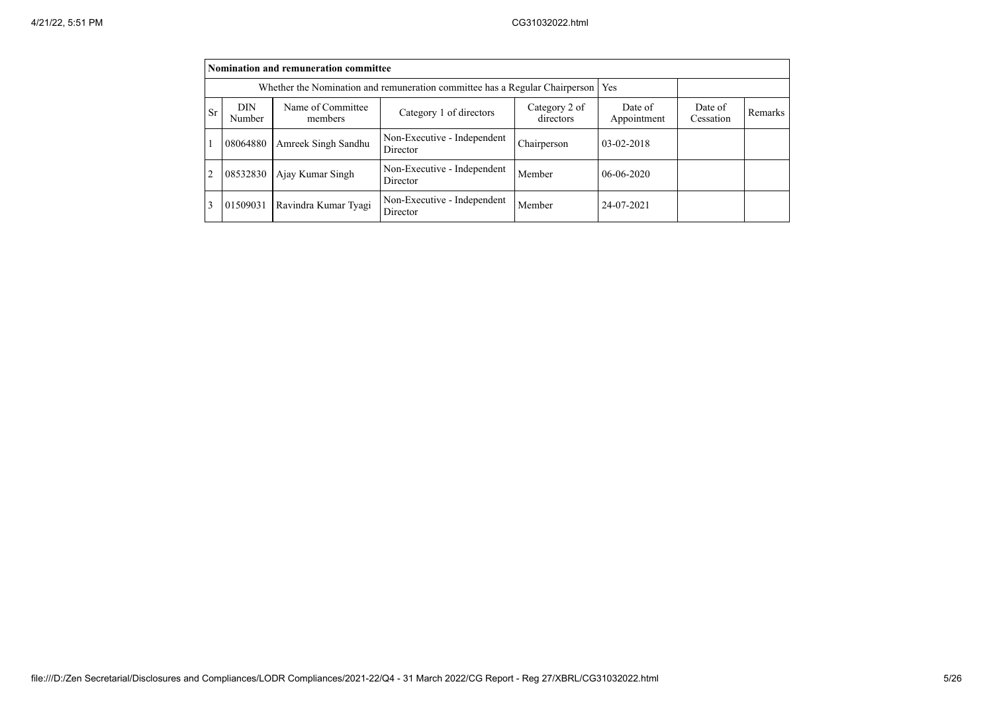|           | <b>Nomination and remuneration committee</b>                                |                              |                                         |                      |                  |  |  |  |  |  |
|-----------|-----------------------------------------------------------------------------|------------------------------|-----------------------------------------|----------------------|------------------|--|--|--|--|--|
|           | Whether the Nomination and remuneration committee has a Regular Chairperson |                              |                                         |                      |                  |  |  |  |  |  |
| <b>Sr</b> | <b>DIN</b><br>Number                                                        | Name of Committee<br>members | Date of<br>Appointment                  | Date of<br>Cessation | Remarks          |  |  |  |  |  |
|           | 08064880                                                                    | Amreek Singh Sandhu          | Non-Executive - Independent<br>Director | Chairperson          | $03 - 02 - 2018$ |  |  |  |  |  |
|           | 08532830                                                                    | Ajay Kumar Singh             | Non-Executive - Independent<br>Director | Member               | $06-06-2020$     |  |  |  |  |  |
|           | 01509031                                                                    | Ravindra Kumar Tyagi         | Non-Executive - Independent<br>Director | Member               | 24-07-2021       |  |  |  |  |  |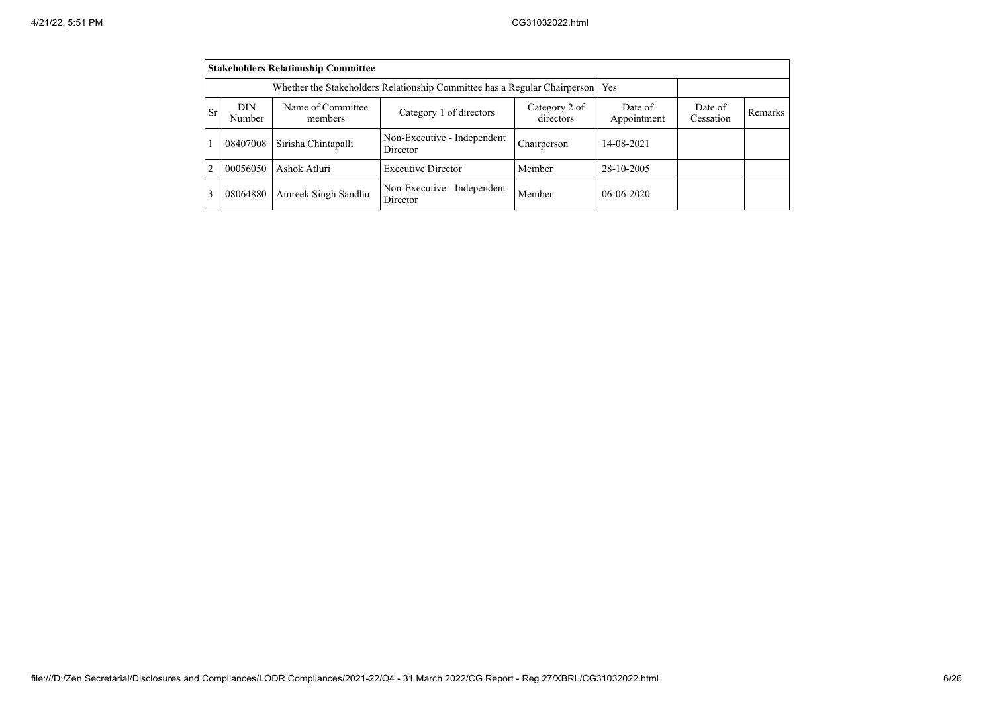|                | <b>Stakeholders Relationship Committee</b> |                                                                           |                                         |                      |              |  |  |  |  |  |
|----------------|--------------------------------------------|---------------------------------------------------------------------------|-----------------------------------------|----------------------|--------------|--|--|--|--|--|
|                |                                            | Whether the Stakeholders Relationship Committee has a Regular Chairperson | <b>Yes</b>                              |                      |              |  |  |  |  |  |
| <b>Sr</b>      | <b>DIN</b><br>Number                       | Name of Committee<br>members                                              | Date of<br>Appointment                  | Date of<br>Cessation | Remarks      |  |  |  |  |  |
|                | 08407008                                   | Sirisha Chintapalli                                                       | Non-Executive - Independent<br>Director | Chairperson          | 14-08-2021   |  |  |  |  |  |
| $\mathfrak{D}$ | 00056050                                   | Ashok Atluri                                                              | <b>Executive Director</b>               | Member               | 28-10-2005   |  |  |  |  |  |
|                | 08064880                                   | Amreek Singh Sandhu                                                       | Non-Executive - Independent<br>Director | Member               | $06-06-2020$ |  |  |  |  |  |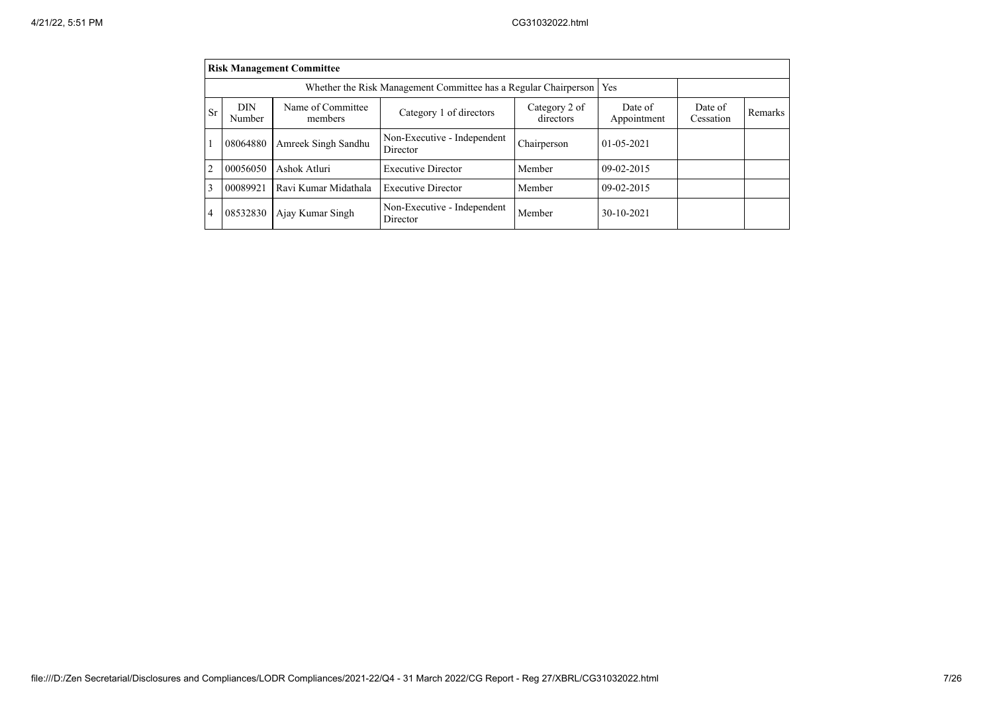|                | <b>Risk Management Committee</b> |                              |                                                                 |                      |                  |  |  |  |  |
|----------------|----------------------------------|------------------------------|-----------------------------------------------------------------|----------------------|------------------|--|--|--|--|
|                |                                  |                              | Whether the Risk Management Committee has a Regular Chairperson |                      | Yes              |  |  |  |  |
| <b>Sr</b>      | <b>DIN</b><br>Number             | Name of Committee<br>members | Date of<br>Appointment                                          | Date of<br>Cessation | Remarks          |  |  |  |  |
|                | 08064880                         | Amreek Singh Sandhu          | Non-Executive - Independent<br>Director                         | Chairperson          | $01 - 05 - 2021$ |  |  |  |  |
| 2              | 00056050                         | Ashok Atluri                 | <b>Executive Director</b>                                       | Member               | $09-02-2015$     |  |  |  |  |
| 3              | 00089921                         | Ravi Kumar Midathala         | <b>Executive Director</b>                                       | Member               | $09-02-2015$     |  |  |  |  |
| $\overline{4}$ | 08532830                         | Ajay Kumar Singh             | Non-Executive - Independent<br>Director                         | Member               | 30-10-2021       |  |  |  |  |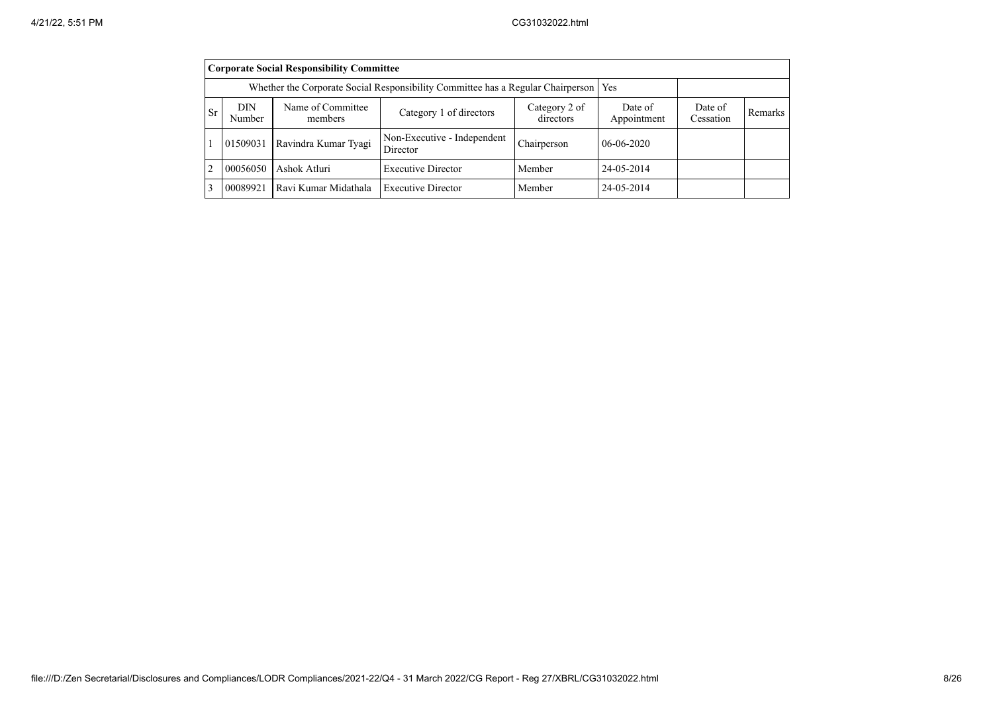|    | <b>Corporate Social Responsibility Committee</b>                                                       |                      |                                         |             |              |                      |         |  |  |  |
|----|--------------------------------------------------------------------------------------------------------|----------------------|-----------------------------------------|-------------|--------------|----------------------|---------|--|--|--|
|    | Whether the Corporate Social Responsibility Committee has a Regular Chairperson   Yes                  |                      |                                         |             |              |                      |         |  |  |  |
| Sr | Name of Committee<br>DIN<br>Category 2 of<br>Category 1 of directors<br>directors<br>Number<br>members |                      |                                         |             |              | Date of<br>Cessation | Remarks |  |  |  |
|    | 01509031                                                                                               | Ravindra Kumar Tyagi | Non-Executive - Independent<br>Director | Chairperson | $06-06-2020$ |                      |         |  |  |  |
| 2  | 00056050                                                                                               | Ashok Atluri         | <b>Executive Director</b>               | Member      | 24-05-2014   |                      |         |  |  |  |
| 3  | 00089921                                                                                               | Ravi Kumar Midathala | 24-05-2014                              |             |              |                      |         |  |  |  |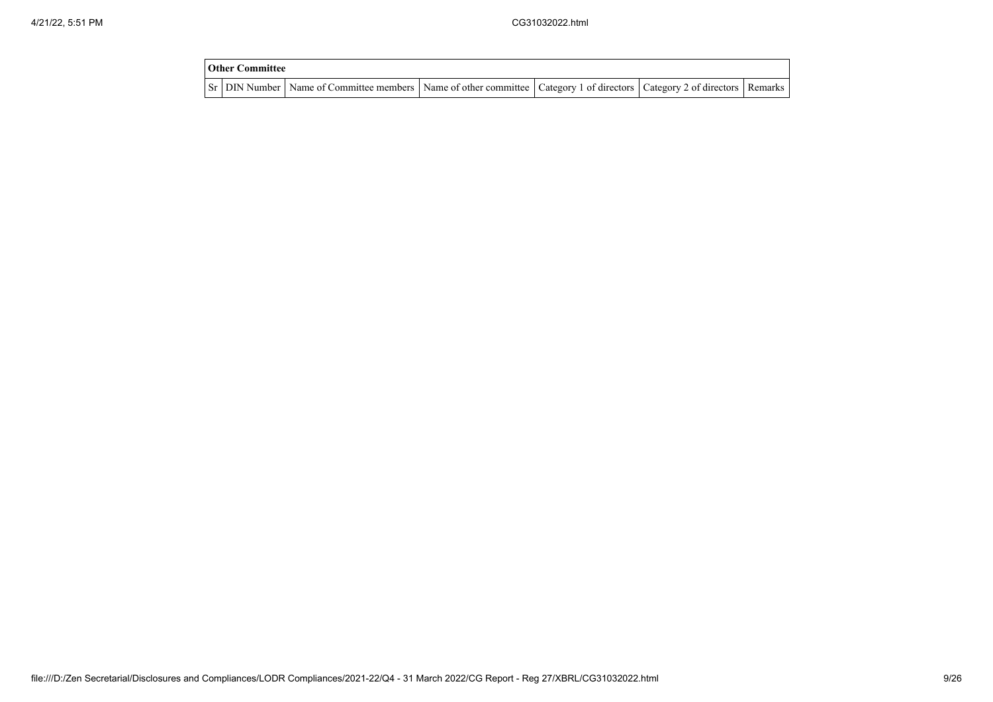| <b>Other Committee</b> |                                                                                                                                     |  |  |
|------------------------|-------------------------------------------------------------------------------------------------------------------------------------|--|--|
|                        | Sr   DIN Number   Name of Committee members   Name of other committee   Category 1 of directors   Category 2 of directors   Remarks |  |  |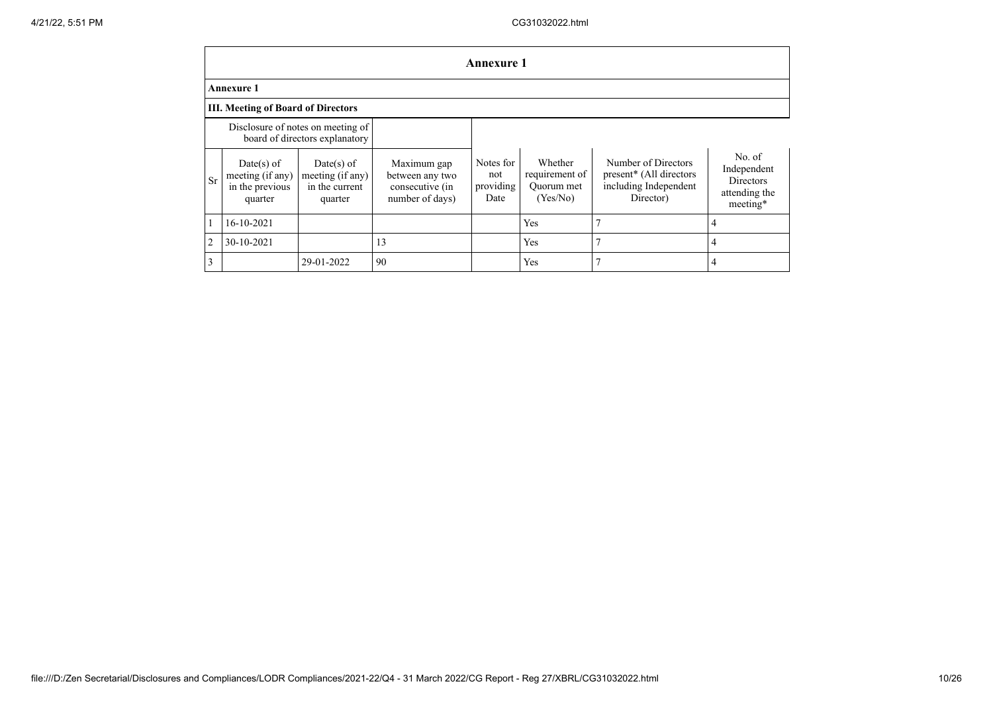|    | <b>Annexure 1</b>                                                   |                                                               |                                                                      |                                       |                                                     |                                                                                                  |                                                                        |  |  |  |
|----|---------------------------------------------------------------------|---------------------------------------------------------------|----------------------------------------------------------------------|---------------------------------------|-----------------------------------------------------|--------------------------------------------------------------------------------------------------|------------------------------------------------------------------------|--|--|--|
|    | <b>Annexure 1</b>                                                   |                                                               |                                                                      |                                       |                                                     |                                                                                                  |                                                                        |  |  |  |
|    | <b>III. Meeting of Board of Directors</b>                           |                                                               |                                                                      |                                       |                                                     |                                                                                                  |                                                                        |  |  |  |
|    | Disclosure of notes on meeting of<br>board of directors explanatory |                                                               |                                                                      |                                       |                                                     |                                                                                                  |                                                                        |  |  |  |
| Sr | $Date(s)$ of<br>meeting (if any)<br>in the previous<br>quarter      | $Date(s)$ of<br>meeting (if any)<br>in the current<br>quarter | Maximum gap<br>between any two<br>consecutive (in<br>number of days) | Notes for<br>not<br>providing<br>Date | Whether<br>requirement of<br>Ouorum met<br>(Yes/No) | Number of Directors<br>present <sup>*</sup> (All directors<br>including Independent<br>Director) | No. of<br>Independent<br><b>Directors</b><br>attending the<br>meeting* |  |  |  |
|    | 16-10-2021                                                          |                                                               |                                                                      |                                       | Yes                                                 |                                                                                                  | 4                                                                      |  |  |  |
| 2  | 30-10-2021                                                          |                                                               | 13                                                                   |                                       | Yes                                                 |                                                                                                  | 4                                                                      |  |  |  |
| 3  |                                                                     | 29-01-2022                                                    | 90                                                                   |                                       | Yes                                                 |                                                                                                  | 4                                                                      |  |  |  |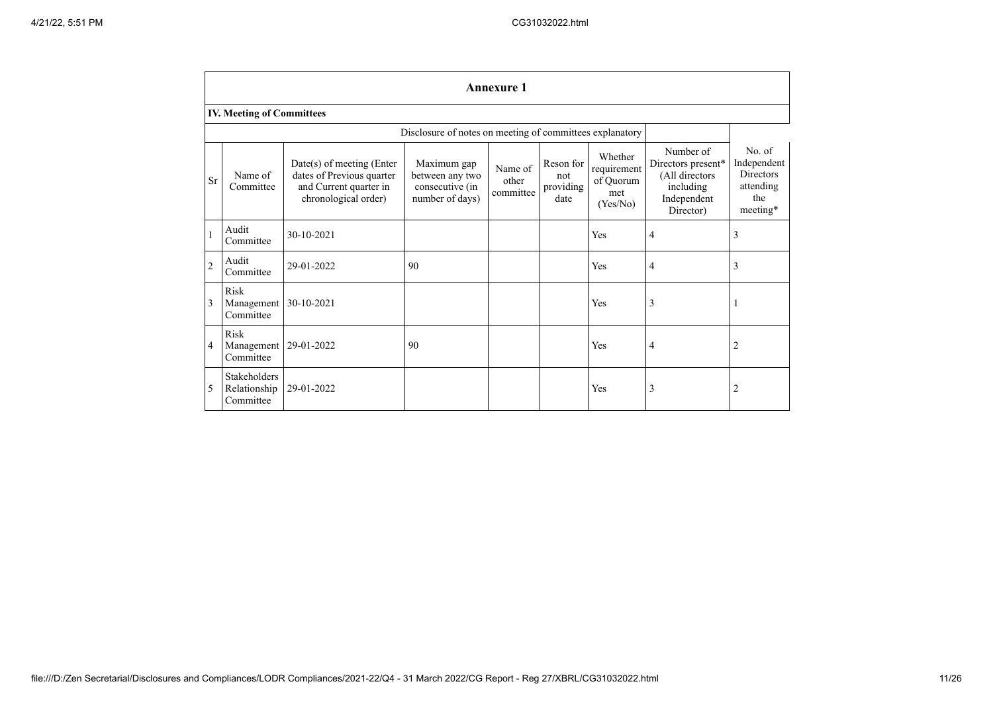|                | <b>Annexure 1</b>                         |                                                                                                            |                                                                      |                               |                                       |                                                        |                                                                                            |                                                                           |  |
|----------------|-------------------------------------------|------------------------------------------------------------------------------------------------------------|----------------------------------------------------------------------|-------------------------------|---------------------------------------|--------------------------------------------------------|--------------------------------------------------------------------------------------------|---------------------------------------------------------------------------|--|
|                | <b>IV. Meeting of Committees</b>          |                                                                                                            |                                                                      |                               |                                       |                                                        |                                                                                            |                                                                           |  |
|                |                                           |                                                                                                            | Disclosure of notes on meeting of committees explanatory             |                               |                                       |                                                        |                                                                                            |                                                                           |  |
| Sr             | Name of<br>Committee                      | $Date(s)$ of meeting (Enter<br>dates of Previous quarter<br>and Current quarter in<br>chronological order) | Maximum gap<br>between any two<br>consecutive (in<br>number of days) | Name of<br>other<br>committee | Reson for<br>not<br>providing<br>date | Whether<br>requirement<br>of Quorum<br>met<br>(Yes/No) | Number of<br>Directors present*<br>(All directors<br>including<br>Independent<br>Director) | No. of<br>Independent<br><b>Directors</b><br>attending<br>the<br>meeting* |  |
| 1              | Audit<br>Committee                        | 30-10-2021                                                                                                 |                                                                      |                               |                                       | Yes                                                    | 4                                                                                          | 3                                                                         |  |
| $\overline{c}$ | Audit<br>Committee                        | 29-01-2022                                                                                                 | 90                                                                   |                               |                                       | Yes                                                    | $\overline{4}$                                                                             | 3                                                                         |  |
| 3              | Risk<br>Management<br>Committee           | 30-10-2021                                                                                                 |                                                                      |                               |                                       | Yes                                                    | 3                                                                                          | $\mathbf{I}$                                                              |  |
| 4              | Risk<br>Management<br>Committee           | 29-01-2022                                                                                                 | 90                                                                   |                               |                                       | Yes                                                    | $\overline{4}$                                                                             | 2                                                                         |  |
| 5              | Stakeholders<br>Relationship<br>Committee | 29-01-2022                                                                                                 |                                                                      |                               |                                       | Yes                                                    | 3                                                                                          | 2                                                                         |  |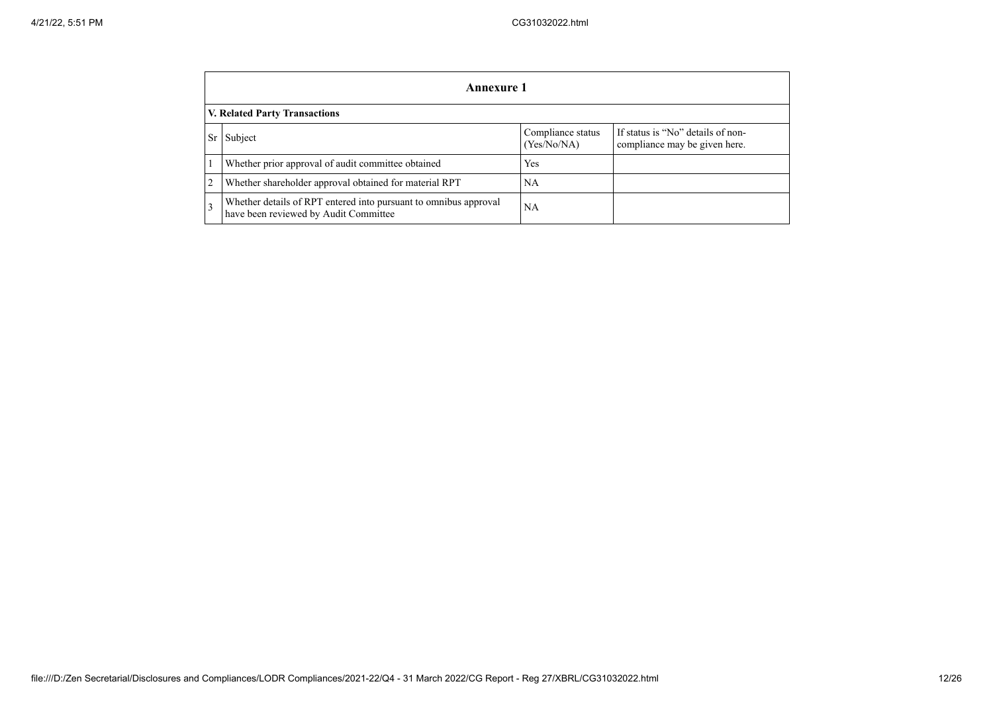|                | <b>Annexure 1</b>                                                                                         |                                  |                                                                    |  |  |  |  |  |  |
|----------------|-----------------------------------------------------------------------------------------------------------|----------------------------------|--------------------------------------------------------------------|--|--|--|--|--|--|
|                | <b>V. Related Party Transactions</b>                                                                      |                                  |                                                                    |  |  |  |  |  |  |
| <b>Sr</b>      | Subject                                                                                                   | Compliance status<br>(Yes/No/NA) | If status is "No" details of non-<br>compliance may be given here. |  |  |  |  |  |  |
|                | Whether prior approval of audit committee obtained                                                        | <b>Yes</b>                       |                                                                    |  |  |  |  |  |  |
| $\overline{2}$ | Whether shareholder approval obtained for material RPT                                                    | NA                               |                                                                    |  |  |  |  |  |  |
| 3              | Whether details of RPT entered into pursuant to omnibus approval<br>have been reviewed by Audit Committee | NA                               |                                                                    |  |  |  |  |  |  |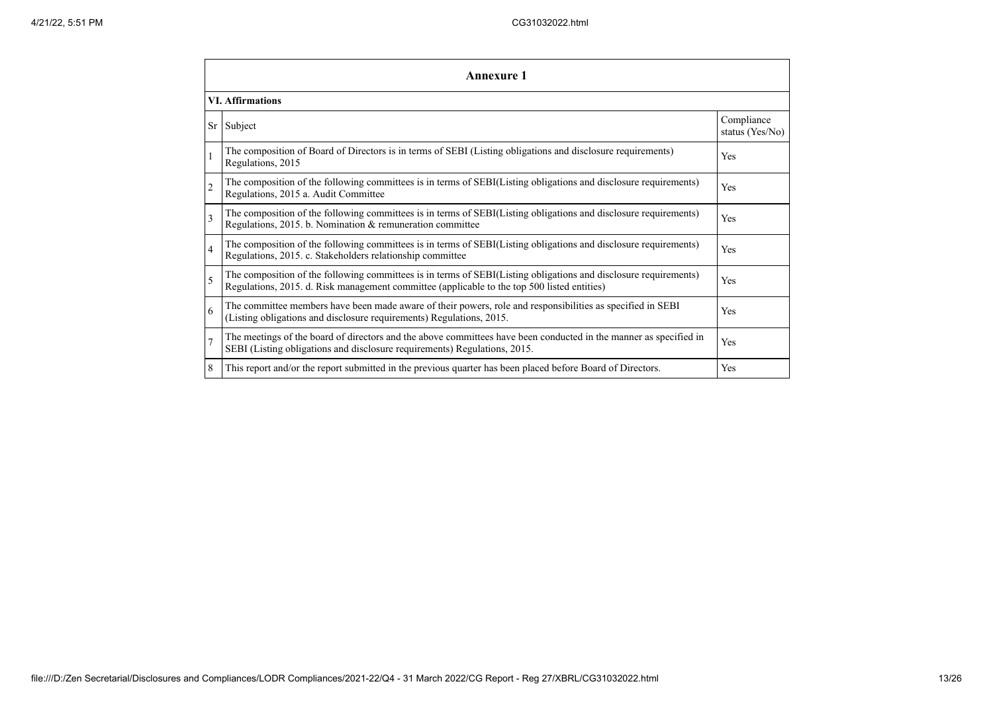|                          | <b>Annexure 1</b>                                                                                                                                                                                               |                               |  |  |
|--------------------------|-----------------------------------------------------------------------------------------------------------------------------------------------------------------------------------------------------------------|-------------------------------|--|--|
|                          | <b>VI.</b> Affirmations                                                                                                                                                                                         |                               |  |  |
| <b>Sr</b>                | Subject                                                                                                                                                                                                         | Compliance<br>status (Yes/No) |  |  |
|                          | The composition of Board of Directors is in terms of SEBI (Listing obligations and disclosure requirements)<br>Regulations, 2015                                                                                | Yes                           |  |  |
| $\overline{2}$           | The composition of the following committees is in terms of SEBI(Listing obligations and disclosure requirements)<br>Regulations, 2015 a. Audit Committee                                                        | Yes                           |  |  |
| 3                        | The composition of the following committees is in terms of SEBI(Listing obligations and disclosure requirements)<br>Regulations, 2015. b. Nomination & remuneration committee                                   | Yes                           |  |  |
| $\overline{4}$           | The composition of the following committees is in terms of SEBI(Listing obligations and disclosure requirements)<br>Regulations, 2015. c. Stakeholders relationship committee                                   | Yes                           |  |  |
| $\overline{\phantom{0}}$ | The composition of the following committees is in terms of SEBI(Listing obligations and disclosure requirements)<br>Regulations, 2015. d. Risk management committee (applicable to the top 500 listed entities) | Yes                           |  |  |
| 6                        | The committee members have been made aware of their powers, role and responsibilities as specified in SEBI<br>(Listing obligations and disclosure requirements) Regulations, 2015.                              | Yes                           |  |  |
| $\overline{7}$           | The meetings of the board of directors and the above committees have been conducted in the manner as specified in<br>SEBI (Listing obligations and disclosure requirements) Regulations, 2015.                  | Yes                           |  |  |
| 8                        | This report and/or the report submitted in the previous quarter has been placed before Board of Directors.                                                                                                      | Yes                           |  |  |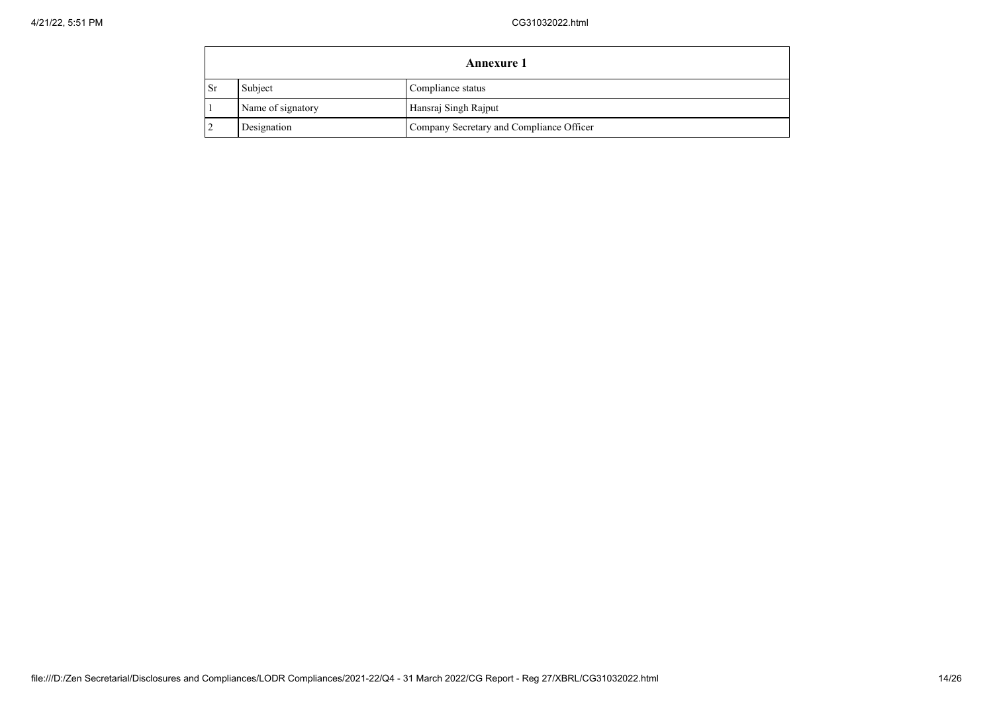|                         | <b>Annexure 1</b> |                                          |  |  |  |
|-------------------------|-------------------|------------------------------------------|--|--|--|
| $\mathsf{S} \mathbf{r}$ | Subject           | Compliance status                        |  |  |  |
|                         | Name of signatory | Hansraj Singh Rajput                     |  |  |  |
|                         | Designation       | Company Secretary and Compliance Officer |  |  |  |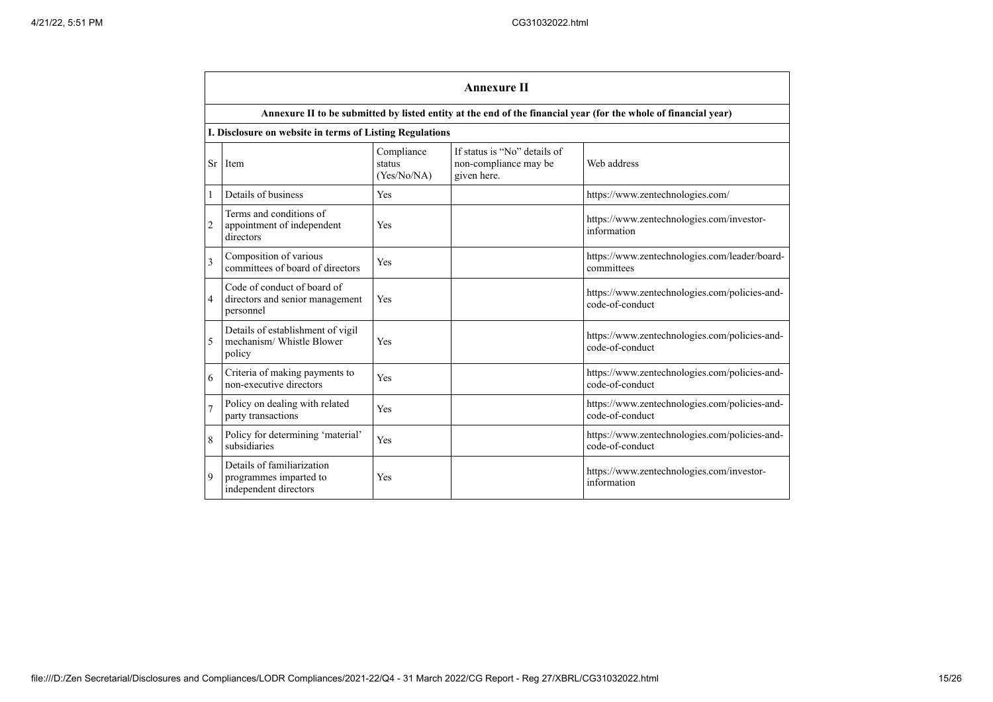|                | <b>Annexure II</b>                                                            |                                     |                                                                      |                                                                                                                 |  |
|----------------|-------------------------------------------------------------------------------|-------------------------------------|----------------------------------------------------------------------|-----------------------------------------------------------------------------------------------------------------|--|
|                |                                                                               |                                     |                                                                      | Annexure II to be submitted by listed entity at the end of the financial year (for the whole of financial year) |  |
|                | I. Disclosure on website in terms of Listing Regulations                      |                                     |                                                                      |                                                                                                                 |  |
|                | Sr Item                                                                       | Compliance<br>status<br>(Yes/No/NA) | If status is "No" details of<br>non-compliance may be<br>given here. | Web address                                                                                                     |  |
| 1              | Details of business                                                           | Yes                                 |                                                                      | https://www.zentechnologies.com/                                                                                |  |
| $\overline{2}$ | Terms and conditions of<br>appointment of independent<br>directors            | Yes                                 |                                                                      | https://www.zentechnologies.com/investor-<br>information                                                        |  |
| $\overline{3}$ | Composition of various<br>committees of board of directors                    | Yes                                 |                                                                      | https://www.zentechnologies.com/leader/board-<br>committees                                                     |  |
| 4              | Code of conduct of board of<br>directors and senior management<br>personnel   | Yes                                 |                                                                      | https://www.zentechnologies.com/policies-and-<br>code-of-conduct                                                |  |
| 5              | Details of establishment of vigil<br>mechanism/ Whistle Blower<br>policy      | Yes                                 |                                                                      | https://www.zentechnologies.com/policies-and-<br>code-of-conduct                                                |  |
| 6              | Criteria of making payments to<br>non-executive directors                     | Yes                                 |                                                                      | https://www.zentechnologies.com/policies-and-<br>code-of-conduct                                                |  |
| $\overline{7}$ | Policy on dealing with related<br>party transactions                          | Yes                                 |                                                                      | https://www.zentechnologies.com/policies-and-<br>code-of-conduct                                                |  |
| 8              | Policy for determining 'material'<br>subsidiaries                             | Yes                                 |                                                                      | https://www.zentechnologies.com/policies-and-<br>code-of-conduct                                                |  |
| 9              | Details of familiarization<br>programmes imparted to<br>independent directors | Yes                                 |                                                                      | https://www.zentechnologies.com/investor-<br>information                                                        |  |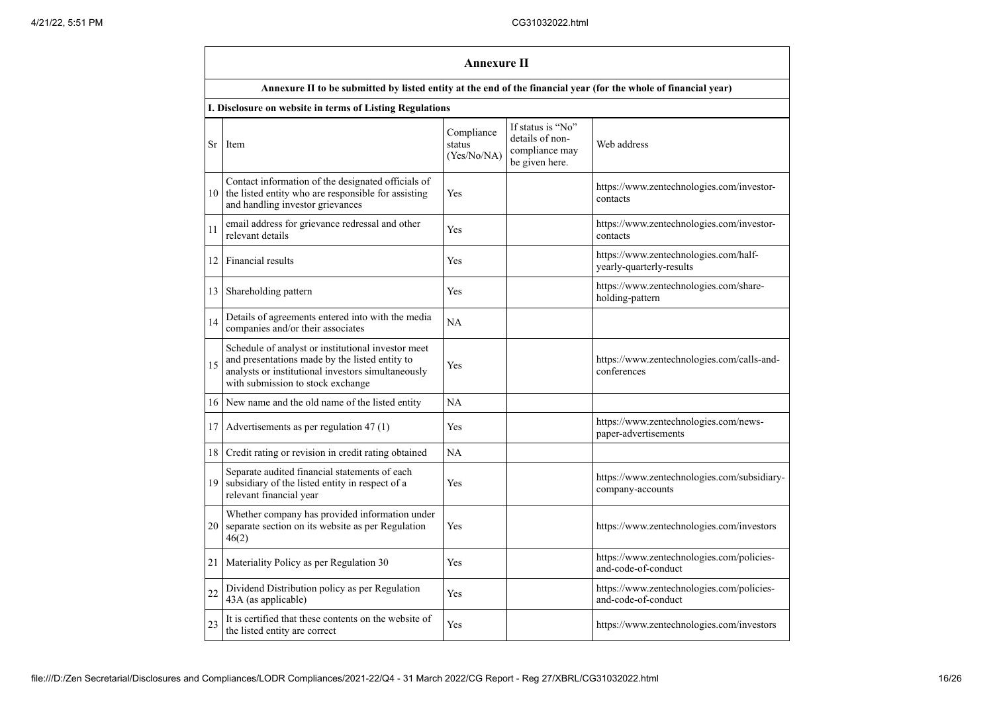|                 | Annexure II                                                                                                                                                                                     |                                     |                                                                          |                                                                   |  |
|-----------------|-------------------------------------------------------------------------------------------------------------------------------------------------------------------------------------------------|-------------------------------------|--------------------------------------------------------------------------|-------------------------------------------------------------------|--|
|                 | Annexure II to be submitted by listed entity at the end of the financial year (for the whole of financial year)                                                                                 |                                     |                                                                          |                                                                   |  |
|                 | I. Disclosure on website in terms of Listing Regulations                                                                                                                                        |                                     |                                                                          |                                                                   |  |
| Sr              | Item                                                                                                                                                                                            | Compliance<br>status<br>(Yes/No/NA) | If status is "No"<br>details of non-<br>compliance may<br>be given here. | Web address                                                       |  |
| 10              | Contact information of the designated officials of<br>the listed entity who are responsible for assisting<br>and handling investor grievances                                                   | Yes                                 |                                                                          | https://www.zentechnologies.com/investor-<br>contacts             |  |
| 11              | email address for grievance redressal and other<br>relevant details                                                                                                                             | Yes                                 |                                                                          | https://www.zentechnologies.com/investor-<br>contacts             |  |
| 12 <sub>1</sub> | Financial results                                                                                                                                                                               | Yes                                 |                                                                          | https://www.zentechnologies.com/half-<br>yearly-quarterly-results |  |
| 13 <sup>1</sup> | Shareholding pattern                                                                                                                                                                            | Yes                                 |                                                                          | https://www.zentechnologies.com/share-<br>holding-pattern         |  |
| 14              | Details of agreements entered into with the media<br>companies and/or their associates                                                                                                          | <b>NA</b>                           |                                                                          |                                                                   |  |
| 15              | Schedule of analyst or institutional investor meet<br>and presentations made by the listed entity to<br>analysts or institutional investors simultaneously<br>with submission to stock exchange | Yes                                 |                                                                          | https://www.zentechnologies.com/calls-and-<br>conferences         |  |
| 16              | New name and the old name of the listed entity                                                                                                                                                  | <b>NA</b>                           |                                                                          |                                                                   |  |
| 17              | Advertisements as per regulation 47 (1)                                                                                                                                                         | Yes                                 |                                                                          | https://www.zentechnologies.com/news-<br>paper-advertisements     |  |
| 18              | Credit rating or revision in credit rating obtained                                                                                                                                             | NA                                  |                                                                          |                                                                   |  |
| 19              | Separate audited financial statements of each<br>subsidiary of the listed entity in respect of a<br>relevant financial year                                                                     | Yes                                 |                                                                          | https://www.zentechnologies.com/subsidiary-<br>company-accounts   |  |
| 20              | Whether company has provided information under<br>separate section on its website as per Regulation<br>46(2)                                                                                    | Yes                                 |                                                                          | https://www.zentechnologies.com/investors                         |  |
| 21              | Materiality Policy as per Regulation 30                                                                                                                                                         | Yes                                 |                                                                          | https://www.zentechnologies.com/policies-<br>and-code-of-conduct  |  |
| 22              | Dividend Distribution policy as per Regulation<br>43A (as applicable)                                                                                                                           | Yes                                 |                                                                          | https://www.zentechnologies.com/policies-<br>and-code-of-conduct  |  |
| 23              | It is certified that these contents on the website of<br>the listed entity are correct                                                                                                          | Yes                                 |                                                                          | https://www.zentechnologies.com/investors                         |  |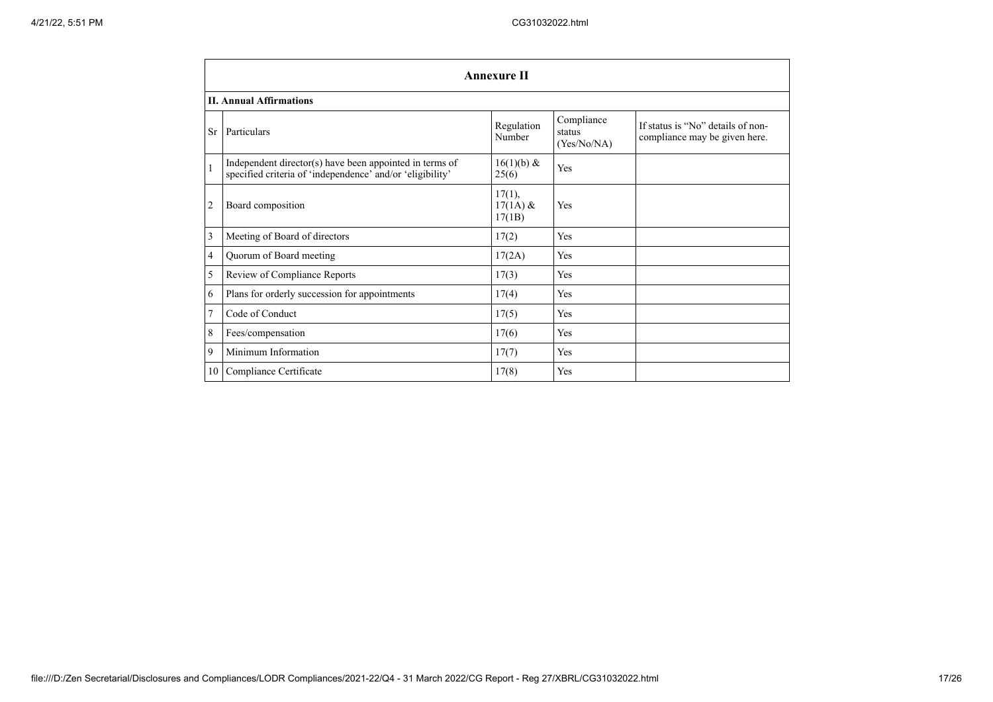|                | <b>Annexure II</b>                                                                                                   |                                |                                     |                                                                    |
|----------------|----------------------------------------------------------------------------------------------------------------------|--------------------------------|-------------------------------------|--------------------------------------------------------------------|
|                | <b>II. Annual Affirmations</b>                                                                                       |                                |                                     |                                                                    |
| <b>Sr</b>      | Particulars                                                                                                          | Regulation<br>Number           | Compliance<br>status<br>(Yes/No/NA) | If status is "No" details of non-<br>compliance may be given here. |
| $\overline{1}$ | Independent director(s) have been appointed in terms of<br>specified criteria of 'independence' and/or 'eligibility' | $16(1)(b)$ &<br>25(6)          | Yes                                 |                                                                    |
| $\overline{2}$ | Board composition                                                                                                    | 17(1),<br>$17(1A)$ &<br>17(1B) | Yes                                 |                                                                    |
| $\overline{3}$ | Meeting of Board of directors                                                                                        | 17(2)                          | Yes                                 |                                                                    |
| $\overline{4}$ | Quorum of Board meeting                                                                                              | 17(2A)                         | Yes                                 |                                                                    |
| 5              | Review of Compliance Reports                                                                                         | 17(3)                          | Yes                                 |                                                                    |
| 6              | Plans for orderly succession for appointments                                                                        | 17(4)                          | Yes                                 |                                                                    |
| $\overline{7}$ | Code of Conduct                                                                                                      | 17(5)                          | Yes                                 |                                                                    |
| 8              | Fees/compensation                                                                                                    | 17(6)                          | Yes                                 |                                                                    |
| $\overline{9}$ | Minimum Information                                                                                                  | 17(7)                          | Yes                                 |                                                                    |
| <b>10</b>      | Compliance Certificate                                                                                               | 17(8)                          | Yes                                 |                                                                    |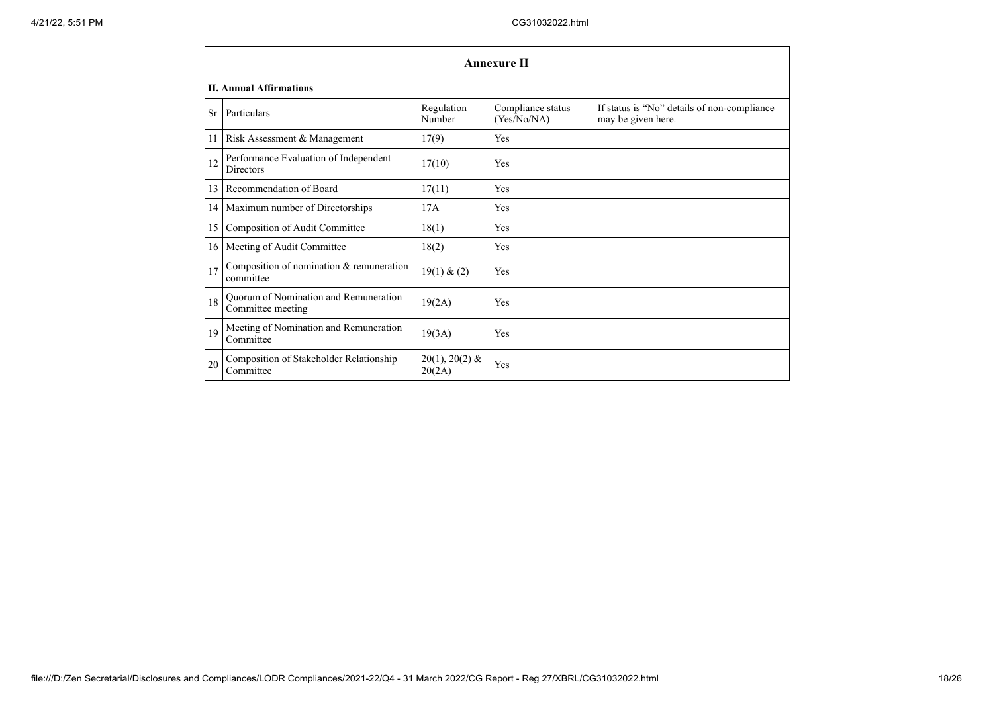|                 | <b>Annexure II</b>                                         |                            |                                  |                                                                   |  |
|-----------------|------------------------------------------------------------|----------------------------|----------------------------------|-------------------------------------------------------------------|--|
|                 | <b>II. Annual Affirmations</b>                             |                            |                                  |                                                                   |  |
|                 | Sr Particulars                                             | Regulation<br>Number       | Compliance status<br>(Yes/No/NA) | If status is "No" details of non-compliance<br>may be given here. |  |
| 11              | Risk Assessment & Management                               | 17(9)                      | Yes                              |                                                                   |  |
| 12              | Performance Evaluation of Independent<br><b>Directors</b>  | 17(10)                     | Yes                              |                                                                   |  |
| 13              | Recommendation of Board                                    | 17(11)                     | Yes                              |                                                                   |  |
|                 | 14   Maximum number of Directorships                       | 17A                        | Yes                              |                                                                   |  |
| 15              | Composition of Audit Committee                             | 18(1)                      | Yes                              |                                                                   |  |
| 16 <sup>1</sup> | Meeting of Audit Committee                                 | 18(2)                      | Yes                              |                                                                   |  |
| 17              | Composition of nomination & remuneration<br>committee      | 19(1) & (2)                | Yes                              |                                                                   |  |
| 18              | Quorum of Nomination and Remuneration<br>Committee meeting | 19(2A)                     | Yes                              |                                                                   |  |
| 19              | Meeting of Nomination and Remuneration<br>Committee        | 19(3A)                     | Yes                              |                                                                   |  |
| 20              | Composition of Stakeholder Relationship<br>Committee       | $20(1), 20(2)$ &<br>20(2A) | Yes                              |                                                                   |  |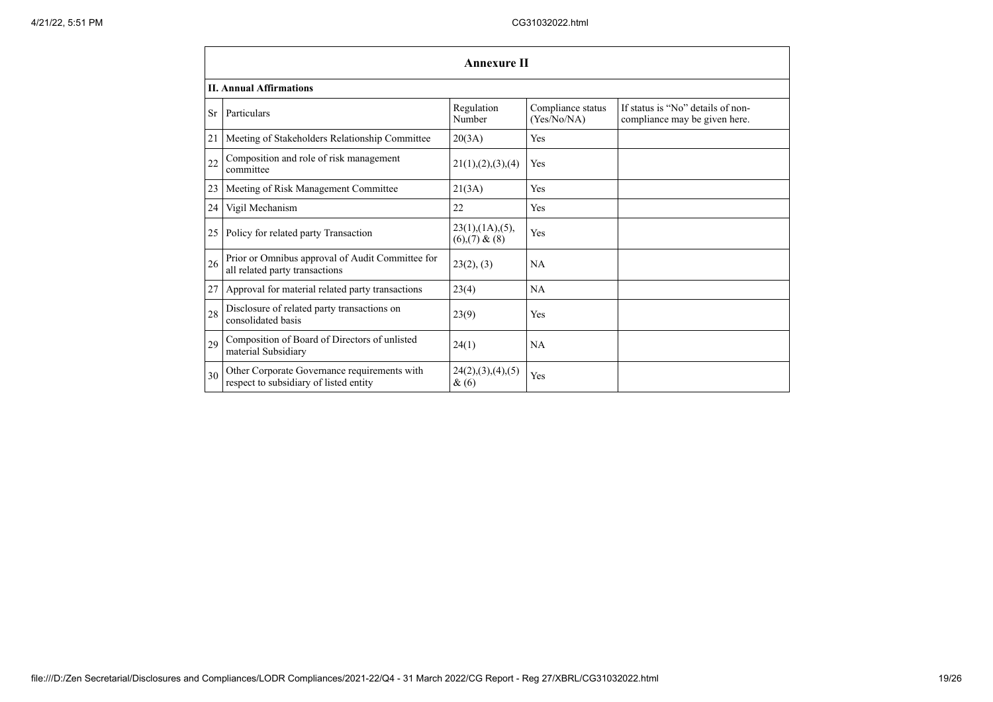|    | <b>Annexure II</b>                                                                     |                                          |                                  |                                                                    |
|----|----------------------------------------------------------------------------------------|------------------------------------------|----------------------------------|--------------------------------------------------------------------|
|    | <b>II. Annual Affirmations</b>                                                         |                                          |                                  |                                                                    |
| Sr | Particulars                                                                            | Regulation<br>Number                     | Compliance status<br>(Yes/No/NA) | If status is "No" details of non-<br>compliance may be given here. |
| 21 | Meeting of Stakeholders Relationship Committee                                         | 20(3A)                                   | Yes                              |                                                                    |
| 22 | Composition and role of risk management<br>committee                                   | 21(1), (2), (3), (4)                     | Yes                              |                                                                    |
| 23 | Meeting of Risk Management Committee                                                   | 21(3A)                                   | Yes                              |                                                                    |
| 24 | Vigil Mechanism                                                                        | 22                                       | Yes                              |                                                                    |
| 25 | Policy for related party Transaction                                                   | 23(1),(1A),(5),<br>$(6)$ , $(7)$ & $(8)$ | Yes                              |                                                                    |
| 26 | Prior or Omnibus approval of Audit Committee for<br>all related party transactions     | 23(2), (3)                               | NA                               |                                                                    |
| 27 | Approval for material related party transactions                                       | 23(4)                                    | NA                               |                                                                    |
| 28 | Disclosure of related party transactions on<br>consolidated basis                      | 23(9)                                    | Yes                              |                                                                    |
| 29 | Composition of Board of Directors of unlisted<br>material Subsidiary                   | 24(1)                                    | <b>NA</b>                        |                                                                    |
| 30 | Other Corporate Governance requirements with<br>respect to subsidiary of listed entity | 24(2),(3),(4),(5)<br>&(6)                | Yes                              |                                                                    |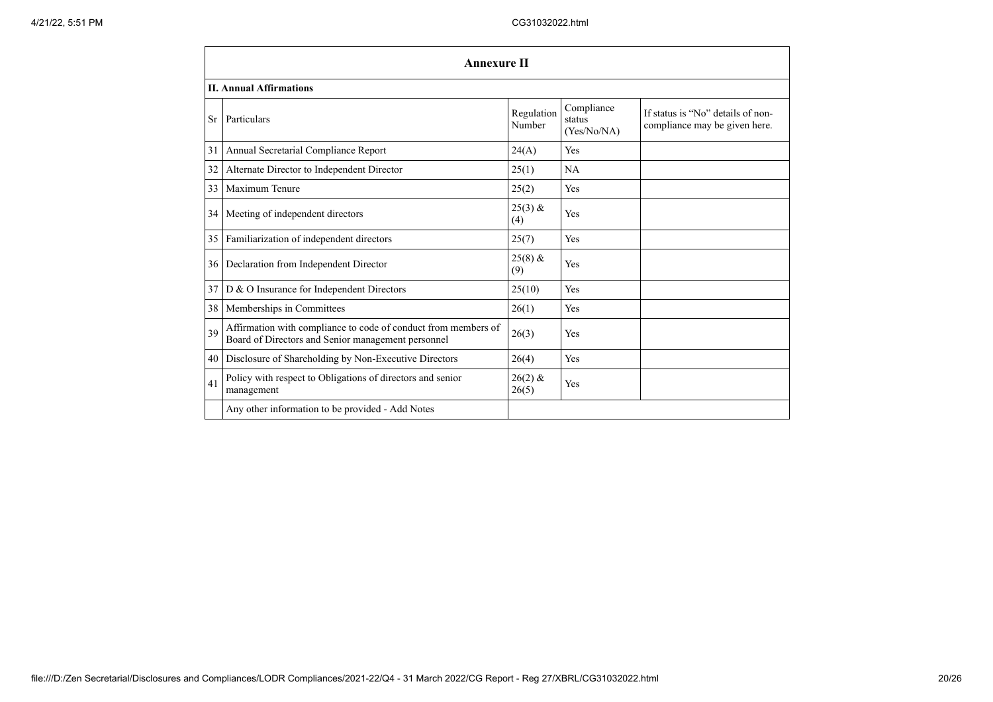|    | <b>Annexure II</b>                                                                                                   |                      |                                     |                                                                    |
|----|----------------------------------------------------------------------------------------------------------------------|----------------------|-------------------------------------|--------------------------------------------------------------------|
|    | <b>II. Annual Affirmations</b>                                                                                       |                      |                                     |                                                                    |
| Sr | Particulars                                                                                                          | Regulation<br>Number | Compliance<br>status<br>(Yes/No/NA) | If status is "No" details of non-<br>compliance may be given here. |
| 31 | Annual Secretarial Compliance Report                                                                                 | 24(A)                | Yes                                 |                                                                    |
| 32 | Alternate Director to Independent Director                                                                           | 25(1)                | NA                                  |                                                                    |
| 33 | Maximum Tenure                                                                                                       | 25(2)                | Yes                                 |                                                                    |
| 34 | Meeting of independent directors                                                                                     | $25(3)$ &<br>(4)     | Yes                                 |                                                                    |
| 35 | Familiarization of independent directors                                                                             | 25(7)                | Yes                                 |                                                                    |
| 36 | Declaration from Independent Director                                                                                | $25(8)$ &<br>(9)     | Yes                                 |                                                                    |
| 37 | D & O Insurance for Independent Directors                                                                            | 25(10)               | Yes                                 |                                                                    |
| 38 | Memberships in Committees                                                                                            | 26(1)                | Yes                                 |                                                                    |
| 39 | Affirmation with compliance to code of conduct from members of<br>Board of Directors and Senior management personnel | 26(3)                | Yes                                 |                                                                    |
| 40 | Disclosure of Shareholding by Non-Executive Directors                                                                | 26(4)                | Yes                                 |                                                                    |
| 41 | Policy with respect to Obligations of directors and senior<br>management                                             | $26(2)$ &<br>26(5)   | Yes                                 |                                                                    |
|    | Any other information to be provided - Add Notes                                                                     |                      |                                     |                                                                    |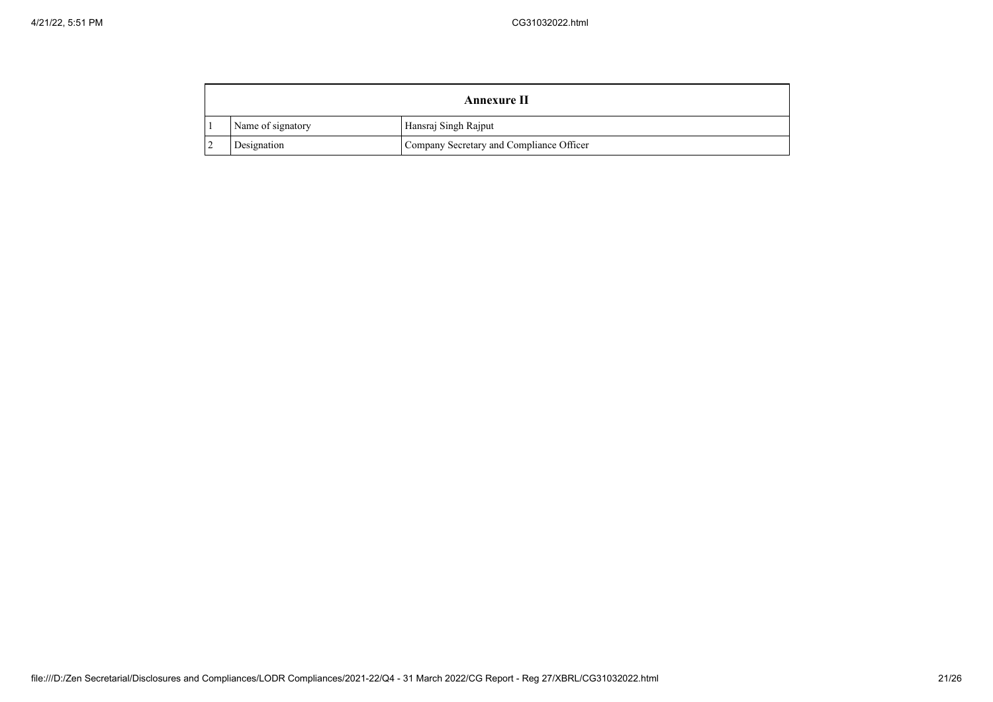|  |                   | Annexure II                              |
|--|-------------------|------------------------------------------|
|  | Name of signatory | Hansraj Singh Rajput                     |
|  | Designation       | Company Secretary and Compliance Officer |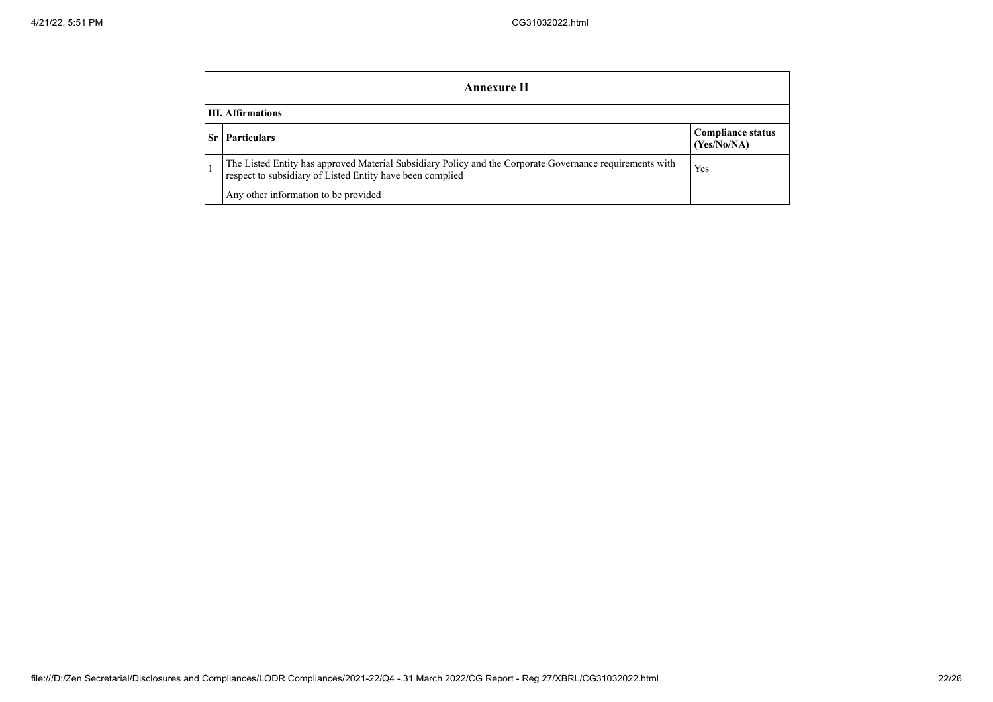|    | Annexure II                                                                                                                                                           |                                         |  |  |
|----|-----------------------------------------------------------------------------------------------------------------------------------------------------------------------|-----------------------------------------|--|--|
|    | <b>III.</b> Affirmations                                                                                                                                              |                                         |  |  |
| Sr | <b>Particulars</b>                                                                                                                                                    | <b>Compliance status</b><br>(Yes/No/NA) |  |  |
|    | The Listed Entity has approved Material Subsidiary Policy and the Corporate Governance requirements with<br>respect to subsidiary of Listed Entity have been complied | Yes                                     |  |  |
|    | Any other information to be provided                                                                                                                                  |                                         |  |  |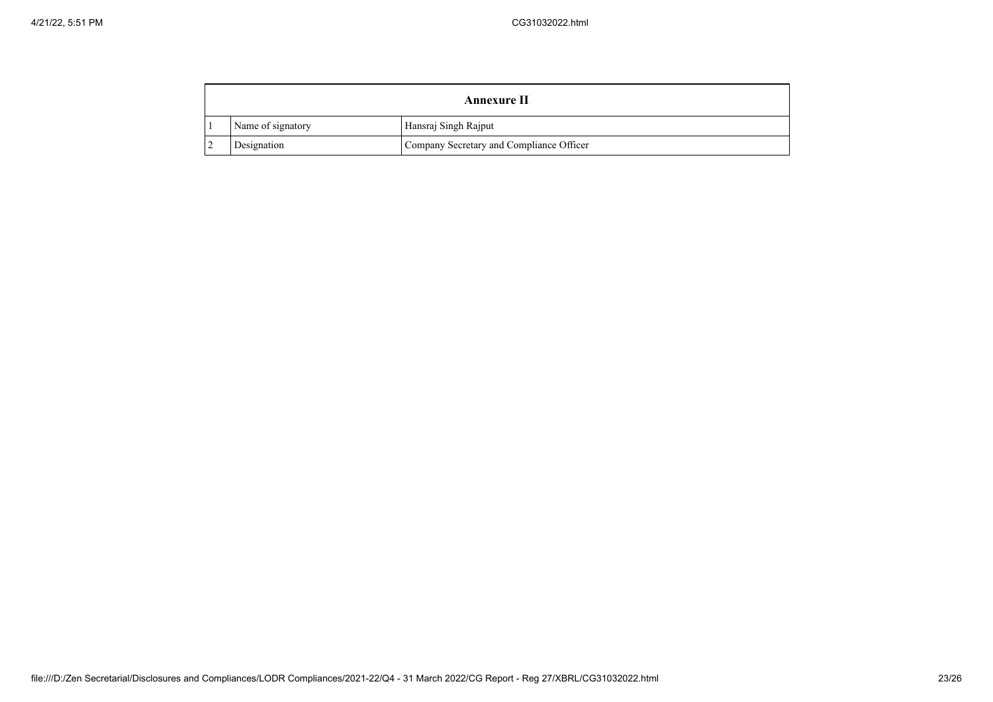|  |                   | Annexure II                              |
|--|-------------------|------------------------------------------|
|  | Name of signatory | Hansraj Singh Rajput                     |
|  | Designation       | Company Secretary and Compliance Officer |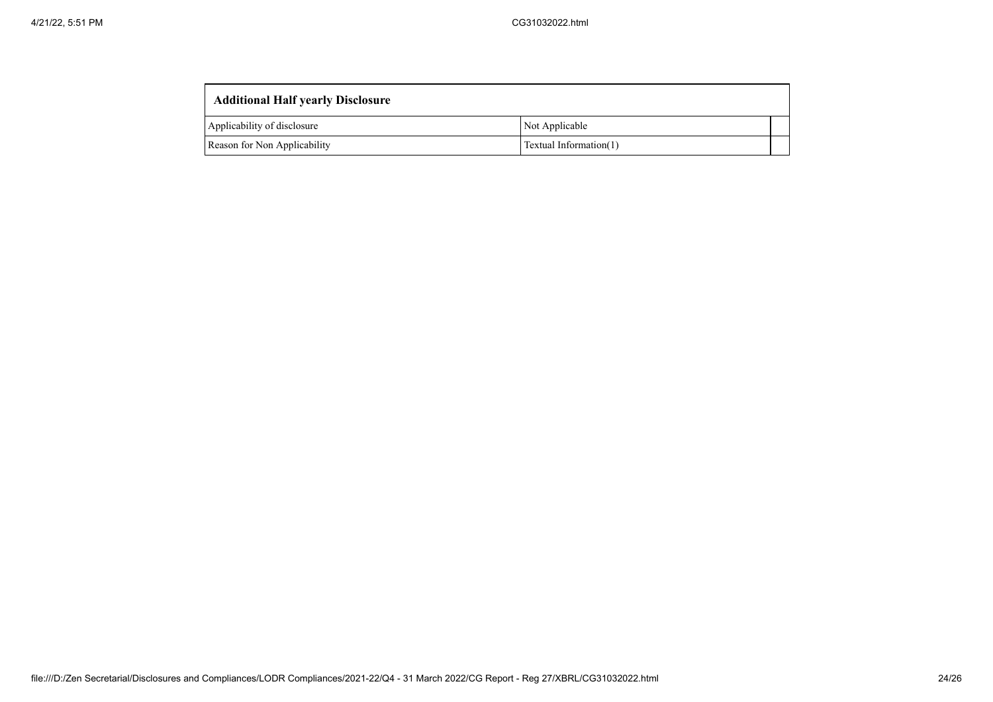| <b>Additional Half yearly Disclosure</b> |                        |  |  |  |
|------------------------------------------|------------------------|--|--|--|
| Applicability of disclosure              | Not Applicable         |  |  |  |
| Reason for Non Applicability             | Textual Information(1) |  |  |  |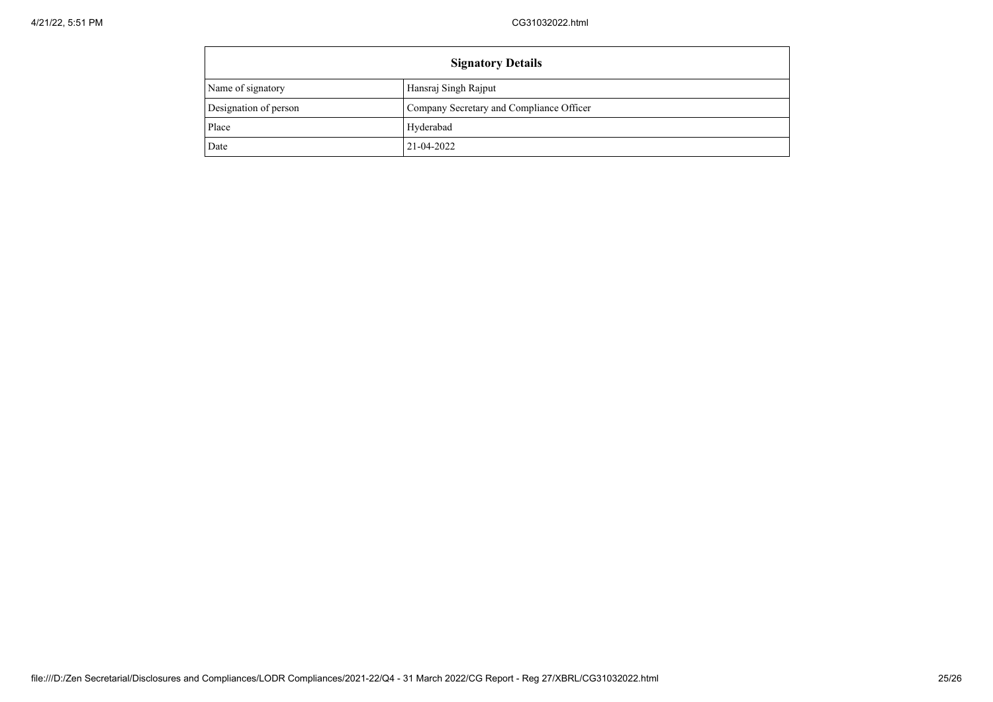| <b>Signatory Details</b> |                                          |
|--------------------------|------------------------------------------|
| Name of signatory        | Hansraj Singh Rajput                     |
| Designation of person    | Company Secretary and Compliance Officer |
| Place                    | Hyderabad                                |
| Date                     | 21-04-2022                               |